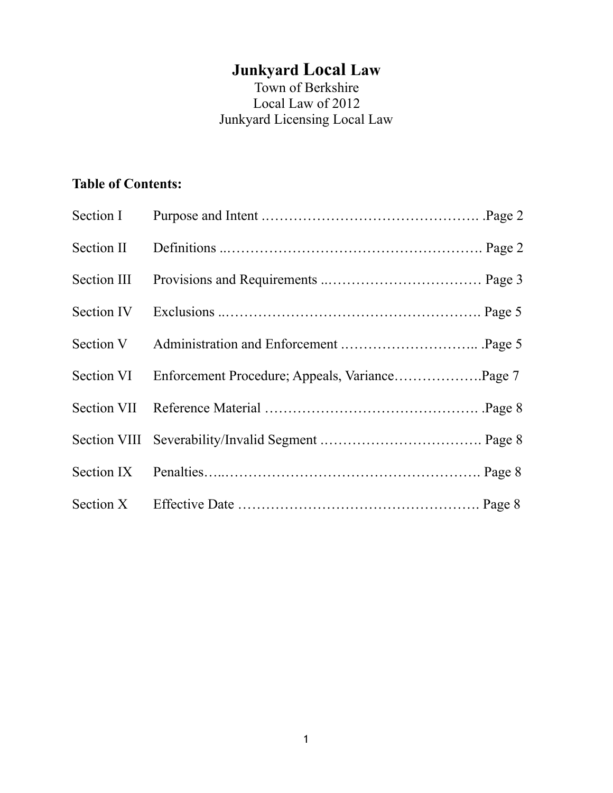# **Junkyard Local Law**

Town of Berkshire Local Law of 2012 Junkyard Licensing Local Law

## **Table of Contents:**

| Section I   |  |
|-------------|--|
| Section II  |  |
| Section III |  |
| Section IV  |  |
| Section V   |  |
|             |  |
|             |  |
|             |  |
|             |  |
|             |  |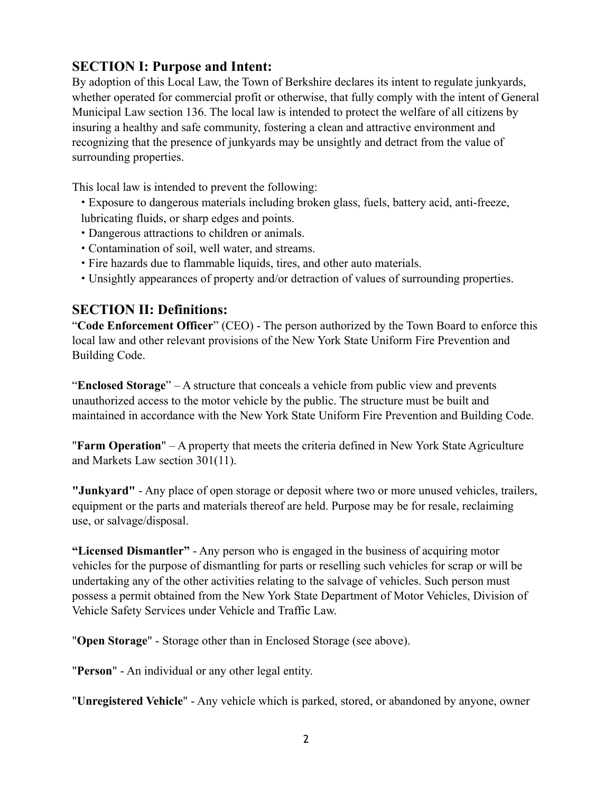### **SECTION I: Purpose and Intent:**

By adoption of this Local Law, the Town of Berkshire declares its intent to regulate junkyards, whether operated for commercial profit or otherwise, that fully comply with the intent of General Municipal Law section 136. The local law is intended to protect the welfare of all citizens by insuring a healthy and safe community, fostering a clean and attractive environment and recognizing that the presence of junkyards may be unsightly and detract from the value of surrounding properties.

This local law is intended to prevent the following:

- Exposure to dangerous materials including broken glass, fuels, battery acid, anti-freeze, lubricating fluids, or sharp edges and points.
- Dangerous attractions to children or animals.
- Contamination of soil, well water, and streams.
- Fire hazards due to flammable liquids, tires, and other auto materials.
- Unsightly appearances of property and/or detraction of values of surrounding properties.

### **SECTION II: Definitions:**

"**Code Enforcement Officer**" (CEO) - The person authorized by the Town Board to enforce this local law and other relevant provisions of the New York State Uniform Fire Prevention and Building Code.

"**Enclosed Storage**" – A structure that conceals a vehicle from public view and prevents unauthorized access to the motor vehicle by the public. The structure must be built and maintained in accordance with the New York State Uniform Fire Prevention and Building Code.

"**Farm Operation**" – A property that meets the criteria defined in New York State Agriculture and Markets Law section 301(11).

**"Junkyard"** - Any place of open storage or deposit where two or more unused vehicles, trailers, equipment or the parts and materials thereof are held. Purpose may be for resale, reclaiming use, or salvage/disposal.

**"Licensed Dismantler"** - Any person who is engaged in the business of acquiring motor vehicles for the purpose of dismantling for parts or reselling such vehicles for scrap or will be undertaking any of the other activities relating to the salvage of vehicles. Such person must possess a permit obtained from the New York State Department of Motor Vehicles, Division of Vehicle Safety Services under Vehicle and Traffic Law.

"**Open Storage**" - Storage other than in Enclosed Storage (see above).

"**Person**" - An individual or any other legal entity.

"**Unregistered Vehicle**" - Any vehicle which is parked, stored, or abandoned by anyone, owner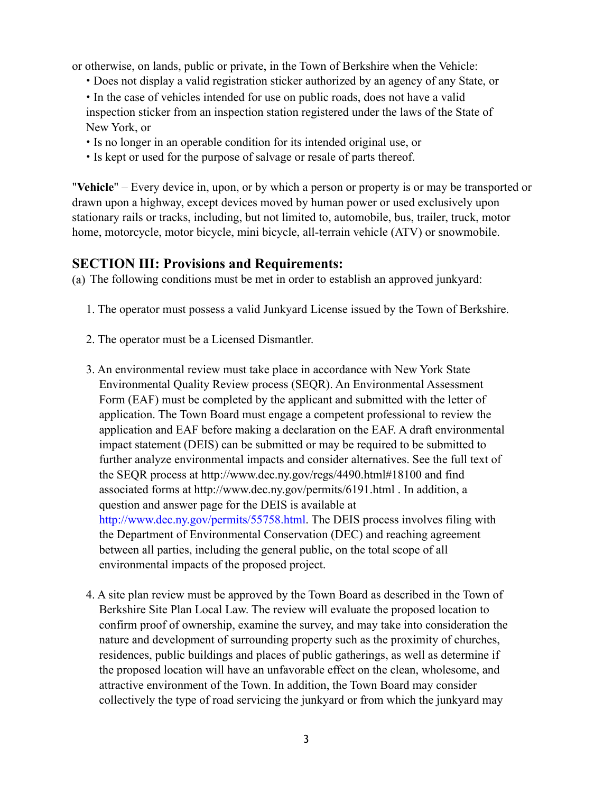or otherwise, on lands, public or private, in the Town of Berkshire when the Vehicle:

- Does not display a valid registration sticker authorized by an agency of any State, or
- In the case of vehicles intended for use on public roads, does not have a valid inspection sticker from an inspection station registered under the laws of the State of New York, or
- Is no longer in an operable condition for its intended original use, or
- Is kept or used for the purpose of salvage or resale of parts thereof.

"**Vehicle**" – Every device in, upon, or by which a person or property is or may be transported or drawn upon a highway, except devices moved by human power or used exclusively upon stationary rails or tracks, including, but not limited to, automobile, bus, trailer, truck, motor home, motorcycle, motor bicycle, mini bicycle, all-terrain vehicle (ATV) or snowmobile.

#### **SECTION III: Provisions and Requirements:**

(a) The following conditions must be met in order to establish an approved junkyard:

- 1. The operator must possess a valid Junkyard License issued by the Town of Berkshire.
- 2. The operator must be a Licensed Dismantler.
- 3. An environmental review must take place in accordance with New York State Environmental Quality Review process (SEQR). An Environmental Assessment Form (EAF) must be completed by the applicant and submitted with the letter of application. The Town Board must engage a competent professional to review the application and EAF before making a declaration on the EAF. A draft environmental impact statement (DEIS) can be submitted or may be required to be submitted to further analyze environmental impacts and consider alternatives. See the full text of the SEQR process at http://www.dec.ny.gov/regs/4490.html#18100 and find associated forms at http://www.dec.ny.gov/permits/6191.html . In addition, a question and answer page for the DEIS is available at http://www.dec.ny.gov/permits/55758.html. The DEIS process involves filing with the Department of Environmental Conservation (DEC) and reaching agreement between all parties, including the general public, on the total scope of all environmental impacts of the proposed project.
- 4. A site plan review must be approved by the Town Board as described in the Town of Berkshire Site Plan Local Law. The review will evaluate the proposed location to confirm proof of ownership, examine the survey, and may take into consideration the nature and development of surrounding property such as the proximity of churches, residences, public buildings and places of public gatherings, as well as determine if the proposed location will have an unfavorable effect on the clean, wholesome, and attractive environment of the Town. In addition, the Town Board may consider collectively the type of road servicing the junkyard or from which the junkyard may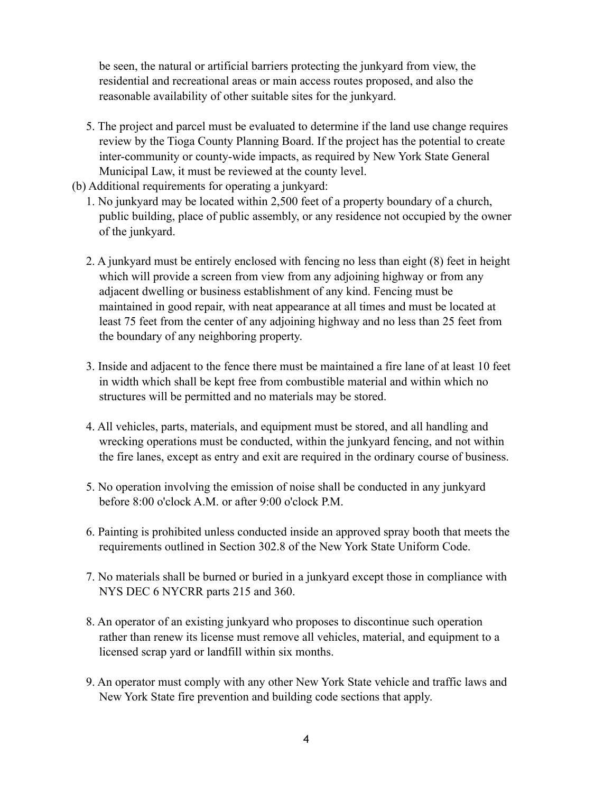be seen, the natural or artificial barriers protecting the junkyard from view, the residential and recreational areas or main access routes proposed, and also the reasonable availability of other suitable sites for the junkyard.

- 5. The project and parcel must be evaluated to determine if the land use change requires review by the Tioga County Planning Board. If the project has the potential to create inter-community or county-wide impacts, as required by New York State General Municipal Law, it must be reviewed at the county level.
- (b) Additional requirements for operating a junkyard:
	- 1. No junkyard may be located within 2,500 feet of a property boundary of a church, public building, place of public assembly, or any residence not occupied by the owner of the junkyard.
	- 2. A junkyard must be entirely enclosed with fencing no less than eight (8) feet in height which will provide a screen from view from any adjoining highway or from any adjacent dwelling or business establishment of any kind. Fencing must be maintained in good repair, with neat appearance at all times and must be located at least 75 feet from the center of any adjoining highway and no less than 25 feet from the boundary of any neighboring property.
	- 3. Inside and adjacent to the fence there must be maintained a fire lane of at least 10 feet in width which shall be kept free from combustible material and within which no structures will be permitted and no materials may be stored.
	- 4. All vehicles, parts, materials, and equipment must be stored, and all handling and wrecking operations must be conducted, within the junkyard fencing, and not within the fire lanes, except as entry and exit are required in the ordinary course of business.
	- 5. No operation involving the emission of noise shall be conducted in any junkyard before 8:00 o'clock A.M. or after 9:00 o'clock P.M.
	- 6. Painting is prohibited unless conducted inside an approved spray booth that meets the requirements outlined in Section 302.8 of the New York State Uniform Code.
	- 7. No materials shall be burned or buried in a junkyard except those in compliance with NYS DEC 6 NYCRR parts 215 and 360.
	- 8. An operator of an existing junkyard who proposes to discontinue such operation rather than renew its license must remove all vehicles, material, and equipment to a licensed scrap yard or landfill within six months.
	- 9. An operator must comply with any other New York State vehicle and traffic laws and New York State fire prevention and building code sections that apply.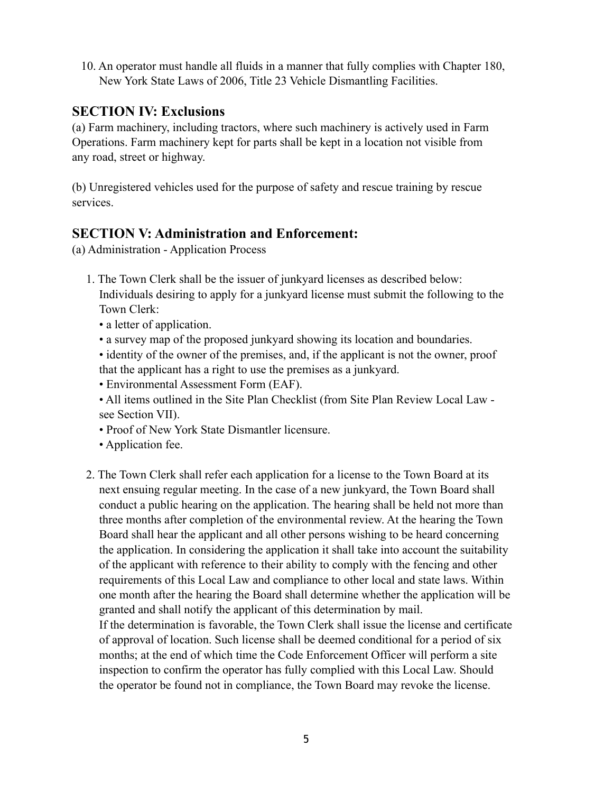10. An operator must handle all fluids in a manner that fully complies with Chapter 180, New York State Laws of 2006, Title 23 Vehicle Dismantling Facilities.

### **SECTION IV: Exclusions**

(a) Farm machinery, including tractors, where such machinery is actively used in Farm Operations. Farm machinery kept for parts shall be kept in a location not visible from any road, street or highway.

(b) Unregistered vehicles used for the purpose of safety and rescue training by rescue services.

### **SECTION V: Administration and Enforcement:**

(a) Administration - Application Process

- 1. The Town Clerk shall be the issuer of junkyard licenses as described below: Individuals desiring to apply for a junkyard license must submit the following to the Town Clerk:
	- a letter of application.
	- a survey map of the proposed junkyard showing its location and boundaries.
	- identity of the owner of the premises, and, if the applicant is not the owner, proof that the applicant has a right to use the premises as a junkyard.
	- Environmental Assessment Form (EAF).
	- All items outlined in the Site Plan Checklist (from Site Plan Review Local Law see Section VII).
	- Proof of New York State Dismantler licensure.
	- Application fee.
- 2. The Town Clerk shall refer each application for a license to the Town Board at its next ensuing regular meeting. In the case of a new junkyard, the Town Board shall conduct a public hearing on the application. The hearing shall be held not more than three months after completion of the environmental review. At the hearing the Town Board shall hear the applicant and all other persons wishing to be heard concerning the application. In considering the application it shall take into account the suitability of the applicant with reference to their ability to comply with the fencing and other requirements of this Local Law and compliance to other local and state laws. Within one month after the hearing the Board shall determine whether the application will be granted and shall notify the applicant of this determination by mail.

If the determination is favorable, the Town Clerk shall issue the license and certificate of approval of location. Such license shall be deemed conditional for a period of six months; at the end of which time the Code Enforcement Officer will perform a site inspection to confirm the operator has fully complied with this Local Law. Should the operator be found not in compliance, the Town Board may revoke the license.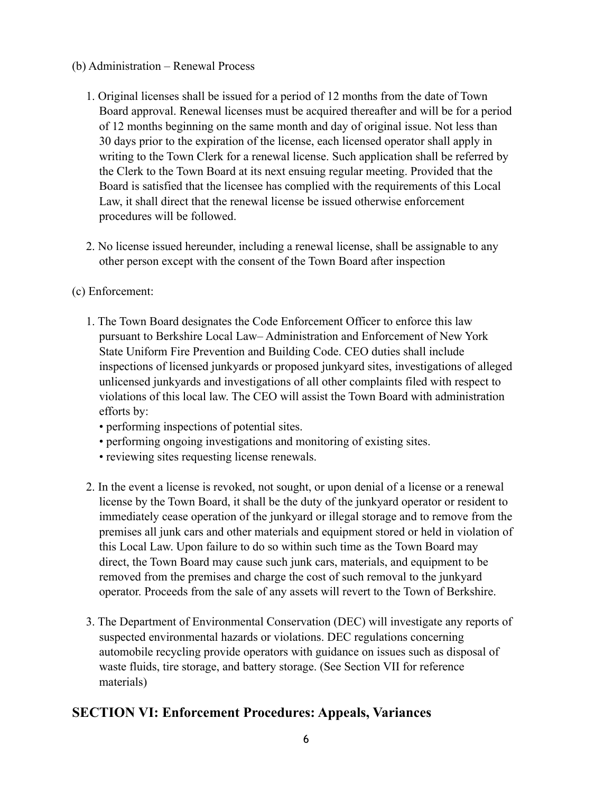#### (b) Administration – Renewal Process

- 1. Original licenses shall be issued for a period of 12 months from the date of Town Board approval. Renewal licenses must be acquired thereafter and will be for a period of 12 months beginning on the same month and day of original issue. Not less than 30 days prior to the expiration of the license, each licensed operator shall apply in writing to the Town Clerk for a renewal license. Such application shall be referred by the Clerk to the Town Board at its next ensuing regular meeting. Provided that the Board is satisfied that the licensee has complied with the requirements of this Local Law, it shall direct that the renewal license be issued otherwise enforcement procedures will be followed.
- 2. No license issued hereunder, including a renewal license, shall be assignable to any other person except with the consent of the Town Board after inspection

#### (c) Enforcement:

- 1. The Town Board designates the Code Enforcement Officer to enforce this law pursuant to Berkshire Local Law– Administration and Enforcement of New York State Uniform Fire Prevention and Building Code. CEO duties shall include inspections of licensed junkyards or proposed junkyard sites, investigations of alleged unlicensed junkyards and investigations of all other complaints filed with respect to violations of this local law. The CEO will assist the Town Board with administration efforts by:
	- performing inspections of potential sites.
	- performing ongoing investigations and monitoring of existing sites.
	- reviewing sites requesting license renewals.
- 2. In the event a license is revoked, not sought, or upon denial of a license or a renewal license by the Town Board, it shall be the duty of the junkyard operator or resident to immediately cease operation of the junkyard or illegal storage and to remove from the premises all junk cars and other materials and equipment stored or held in violation of this Local Law. Upon failure to do so within such time as the Town Board may direct, the Town Board may cause such junk cars, materials, and equipment to be removed from the premises and charge the cost of such removal to the junkyard operator. Proceeds from the sale of any assets will revert to the Town of Berkshire.
- 3. The Department of Environmental Conservation (DEC) will investigate any reports of suspected environmental hazards or violations. DEC regulations concerning automobile recycling provide operators with guidance on issues such as disposal of waste fluids, tire storage, and battery storage. (See Section VII for reference materials)

### **SECTION VI: Enforcement Procedures: Appeals, Variances**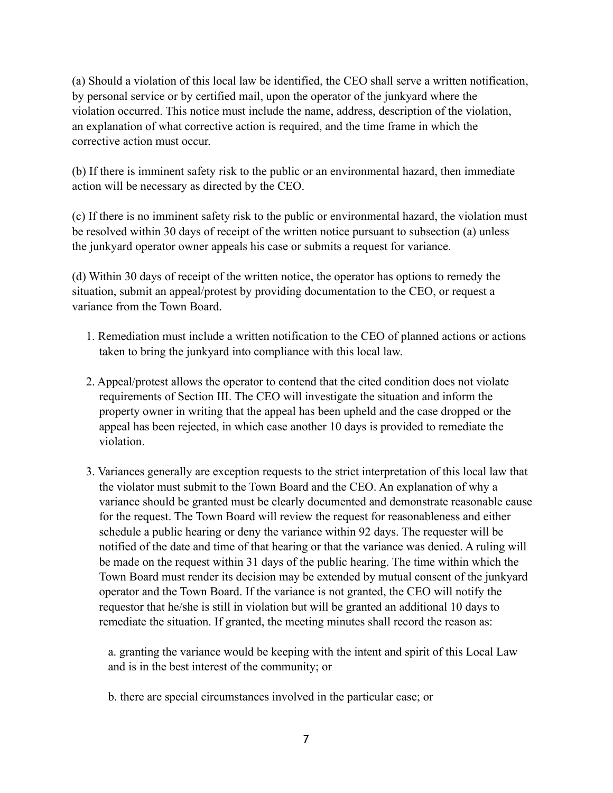(a) Should a violation of this local law be identified, the CEO shall serve a written notification, by personal service or by certified mail, upon the operator of the junkyard where the violation occurred. This notice must include the name, address, description of the violation, an explanation of what corrective action is required, and the time frame in which the corrective action must occur.

(b) If there is imminent safety risk to the public or an environmental hazard, then immediate action will be necessary as directed by the CEO.

(c) If there is no imminent safety risk to the public or environmental hazard, the violation must be resolved within 30 days of receipt of the written notice pursuant to subsection (a) unless the junkyard operator owner appeals his case or submits a request for variance.

(d) Within 30 days of receipt of the written notice, the operator has options to remedy the situation, submit an appeal/protest by providing documentation to the CEO, or request a variance from the Town Board.

- 1. Remediation must include a written notification to the CEO of planned actions or actions taken to bring the junkyard into compliance with this local law.
- 2. Appeal/protest allows the operator to contend that the cited condition does not violate requirements of Section III. The CEO will investigate the situation and inform the property owner in writing that the appeal has been upheld and the case dropped or the appeal has been rejected, in which case another 10 days is provided to remediate the violation.
- 3. Variances generally are exception requests to the strict interpretation of this local law that the violator must submit to the Town Board and the CEO. An explanation of why a variance should be granted must be clearly documented and demonstrate reasonable cause for the request. The Town Board will review the request for reasonableness and either schedule a public hearing or deny the variance within 92 days. The requester will be notified of the date and time of that hearing or that the variance was denied. A ruling will be made on the request within 31 days of the public hearing. The time within which the Town Board must render its decision may be extended by mutual consent of the junkyard operator and the Town Board. If the variance is not granted, the CEO will notify the requestor that he/she is still in violation but will be granted an additional 10 days to remediate the situation. If granted, the meeting minutes shall record the reason as:

a. granting the variance would be keeping with the intent and spirit of this Local Law and is in the best interest of the community; or

b. there are special circumstances involved in the particular case; or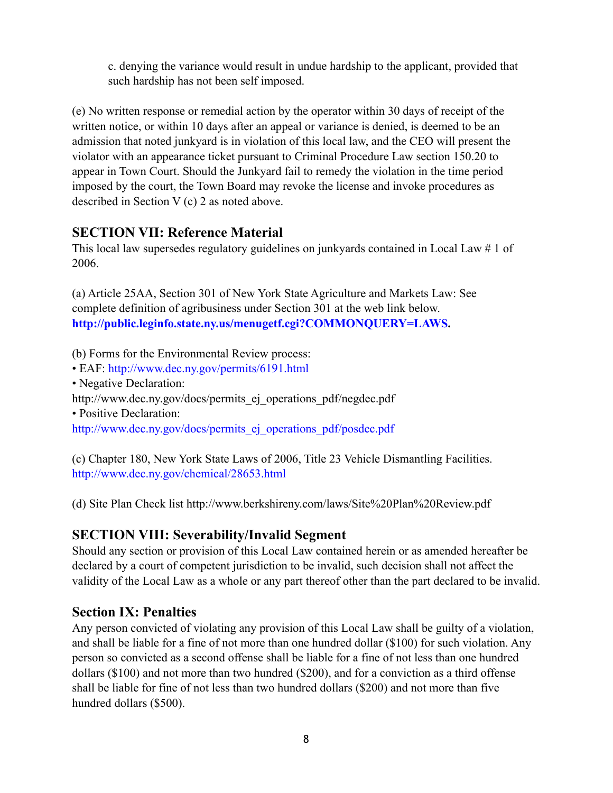c. denying the variance would result in undue hardship to the applicant, provided that such hardship has not been self imposed.

(e) No written response or remedial action by the operator within 30 days of receipt of the written notice, or within 10 days after an appeal or variance is denied, is deemed to be an admission that noted junkyard is in violation of this local law, and the CEO will present the violator with an appearance ticket pursuant to Criminal Procedure Law section 150.20 to appear in Town Court. Should the Junkyard fail to remedy the violation in the time period imposed by the court, the Town Board may revoke the license and invoke procedures as described in Section V (c) 2 as noted above.

### **SECTION VII: Reference Material**

This local law supersedes regulatory guidelines on junkyards contained in Local Law # 1 of 2006.

(a) Article 25AA, Section 301 of New York State Agriculture and Markets Law: See complete definition of agribusiness under Section 301 at the web link below. **http://public.leginfo.state.ny.us/menugetf.cgi?COMMONQUERY=LAWS.** 

(b) Forms for the Environmental Review process:

- EAF: http://www.dec.ny.gov/permits/6191.html
- Negative Declaration:

http://www.dec.ny.gov/docs/permits\_ej\_operations\_pdf/negdec.pdf

• Positive Declaration:

http://www.dec.ny.gov/docs/permits\_ej\_operations\_pdf/posdec.pdf

(c) Chapter 180, New York State Laws of 2006, Title 23 Vehicle Dismantling Facilities. http://www.dec.ny.gov/chemical/28653.html

(d) Site Plan Check list http://www.berkshireny.com/laws/Site%20Plan%20Review.pdf

### **SECTION VIII: Severability/Invalid Segment**

Should any section or provision of this Local Law contained herein or as amended hereafter be declared by a court of competent jurisdiction to be invalid, such decision shall not affect the validity of the Local Law as a whole or any part thereof other than the part declared to be invalid.

### **Section IX: Penalties**

Any person convicted of violating any provision of this Local Law shall be guilty of a violation, and shall be liable for a fine of not more than one hundred dollar (\$100) for such violation. Any person so convicted as a second offense shall be liable for a fine of not less than one hundred dollars (\$100) and not more than two hundred (\$200), and for a conviction as a third offense shall be liable for fine of not less than two hundred dollars (\$200) and not more than five hundred dollars (\$500).